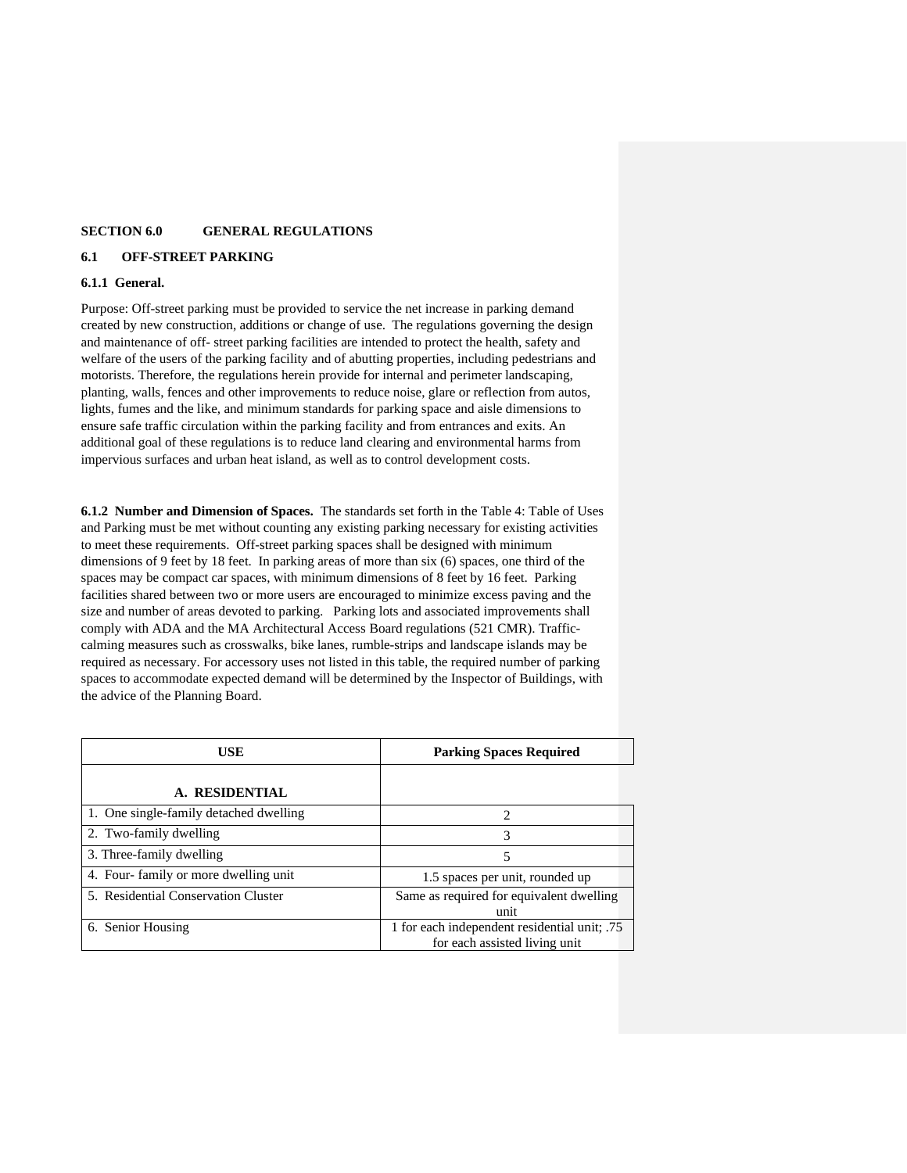### **SECTION 6.0 GENERAL REGULATIONS**

#### **6.1 OFF-STREET PARKING**

#### **6.1.1 General.**

Purpose: Off-street parking must be provided to service the net increase in parking demand created by new construction, additions or change of use. The regulations governing the design and maintenance of off- street parking facilities are intended to protect the health, safety and welfare of the users of the parking facility and of abutting properties, including pedestrians and motorists. Therefore, the regulations herein provide for internal and perimeter landscaping, planting, walls, fences and other improvements to reduce noise, glare or reflection from autos, lights, fumes and the like, and minimum standards for parking space and aisle dimensions to ensure safe traffic circulation within the parking facility and from entrances and exits. An additional goal of these regulations is to reduce land clearing and environmental harms from impervious surfaces and urban heat island, as well as to control development costs.

**6.1.2 Number and Dimension of Spaces.** The standards set forth in the Table 4: Table of Uses and Parking must be met without counting any existing parking necessary for existing activities to meet these requirements. Off-street parking spaces shall be designed with minimum dimensions of 9 feet by 18 feet. In parking areas of more than six (6) spaces, one third of the spaces may be compact car spaces, with minimum dimensions of 8 feet by 16 feet. Parking facilities shared between two or more users are encouraged to minimize excess paving and the size and number of areas devoted to parking. Parking lots and associated improvements shall comply with ADA and the MA Architectural Access Board regulations (521 CMR). Trafficcalming measures such as crosswalks, bike lanes, rumble-strips and landscape islands may be required as necessary. For accessory uses not listed in this table, the required number of parking spaces to accommodate expected demand will be determined by the Inspector of Buildings, with the advice of the Planning Board.

| USE                                    | <b>Parking Spaces Required</b>                   |
|----------------------------------------|--------------------------------------------------|
| A. RESIDENTIAL                         |                                                  |
| 1. One single-family detached dwelling | 2                                                |
| 2. Two-family dwelling                 | 3                                                |
| 3. Three-family dwelling               | 5                                                |
| 4. Four-family or more dwelling unit   | 1.5 spaces per unit, rounded up                  |
| 5. Residential Conservation Cluster    | Same as required for equivalent dwelling<br>unit |
| 6. Senior Housing                      | 1 for each independent residential unit; .75     |
|                                        | for each assisted living unit                    |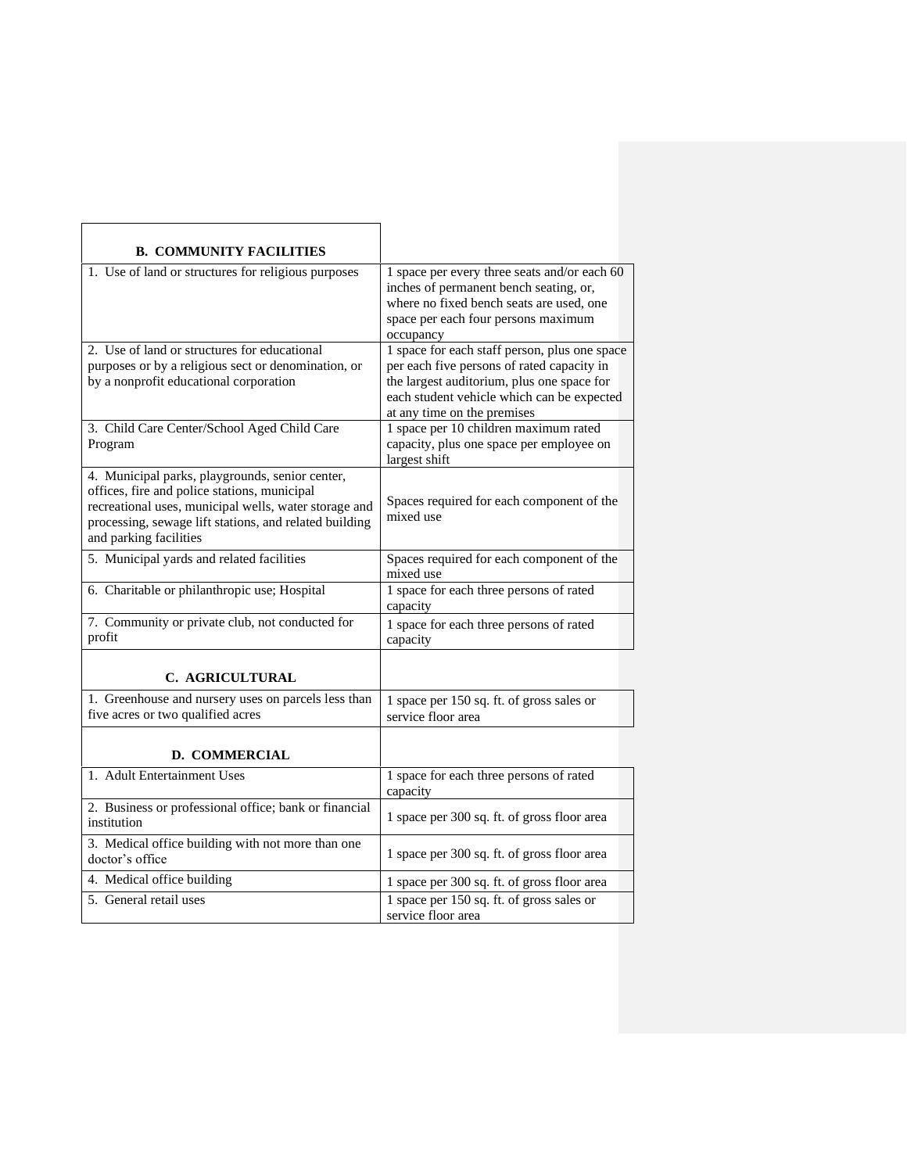| <b>B. COMMUNITY FACILITIES</b>                                                                                                                                                                                                               |                                                                                                                                                                                                                        |
|----------------------------------------------------------------------------------------------------------------------------------------------------------------------------------------------------------------------------------------------|------------------------------------------------------------------------------------------------------------------------------------------------------------------------------------------------------------------------|
| 1. Use of land or structures for religious purposes                                                                                                                                                                                          | 1 space per every three seats and/or each 60<br>inches of permanent bench seating, or,<br>where no fixed bench seats are used, one<br>space per each four persons maximum<br>occupancy                                 |
| 2. Use of land or structures for educational<br>purposes or by a religious sect or denomination, or<br>by a nonprofit educational corporation                                                                                                | 1 space for each staff person, plus one space<br>per each five persons of rated capacity in<br>the largest auditorium, plus one space for<br>each student vehicle which can be expected<br>at any time on the premises |
| 3. Child Care Center/School Aged Child Care<br>Program                                                                                                                                                                                       | 1 space per 10 children maximum rated<br>capacity, plus one space per employee on<br>largest shift                                                                                                                     |
| 4. Municipal parks, playgrounds, senior center,<br>offices, fire and police stations, municipal<br>recreational uses, municipal wells, water storage and<br>processing, sewage lift stations, and related building<br>and parking facilities | Spaces required for each component of the<br>mixed use                                                                                                                                                                 |
| 5. Municipal yards and related facilities                                                                                                                                                                                                    | Spaces required for each component of the<br>mixed use                                                                                                                                                                 |
| 6. Charitable or philanthropic use; Hospital                                                                                                                                                                                                 | 1 space for each three persons of rated<br>capacity                                                                                                                                                                    |
| 7. Community or private club, not conducted for<br>profit                                                                                                                                                                                    | 1 space for each three persons of rated<br>capacity                                                                                                                                                                    |
| <b>C. AGRICULTURAL</b>                                                                                                                                                                                                                       |                                                                                                                                                                                                                        |
| 1. Greenhouse and nursery uses on parcels less than<br>five acres or two qualified acres                                                                                                                                                     | 1 space per 150 sq. ft. of gross sales or<br>service floor area                                                                                                                                                        |
| <b>D. COMMERCIAL</b>                                                                                                                                                                                                                         |                                                                                                                                                                                                                        |
| 1. Adult Entertainment Uses                                                                                                                                                                                                                  | 1 space for each three persons of rated<br>capacity                                                                                                                                                                    |
| 2. Business or professional office; bank or financial<br>institution                                                                                                                                                                         | 1 space per 300 sq. ft. of gross floor area                                                                                                                                                                            |
| 3. Medical office building with not more than one<br>doctor's office                                                                                                                                                                         | 1 space per 300 sq. ft. of gross floor area                                                                                                                                                                            |
| 4. Medical office building                                                                                                                                                                                                                   | 1 space per 300 sq. ft. of gross floor area                                                                                                                                                                            |
| 5. General retail uses                                                                                                                                                                                                                       | 1 space per 150 sq. ft. of gross sales or<br>service floor area                                                                                                                                                        |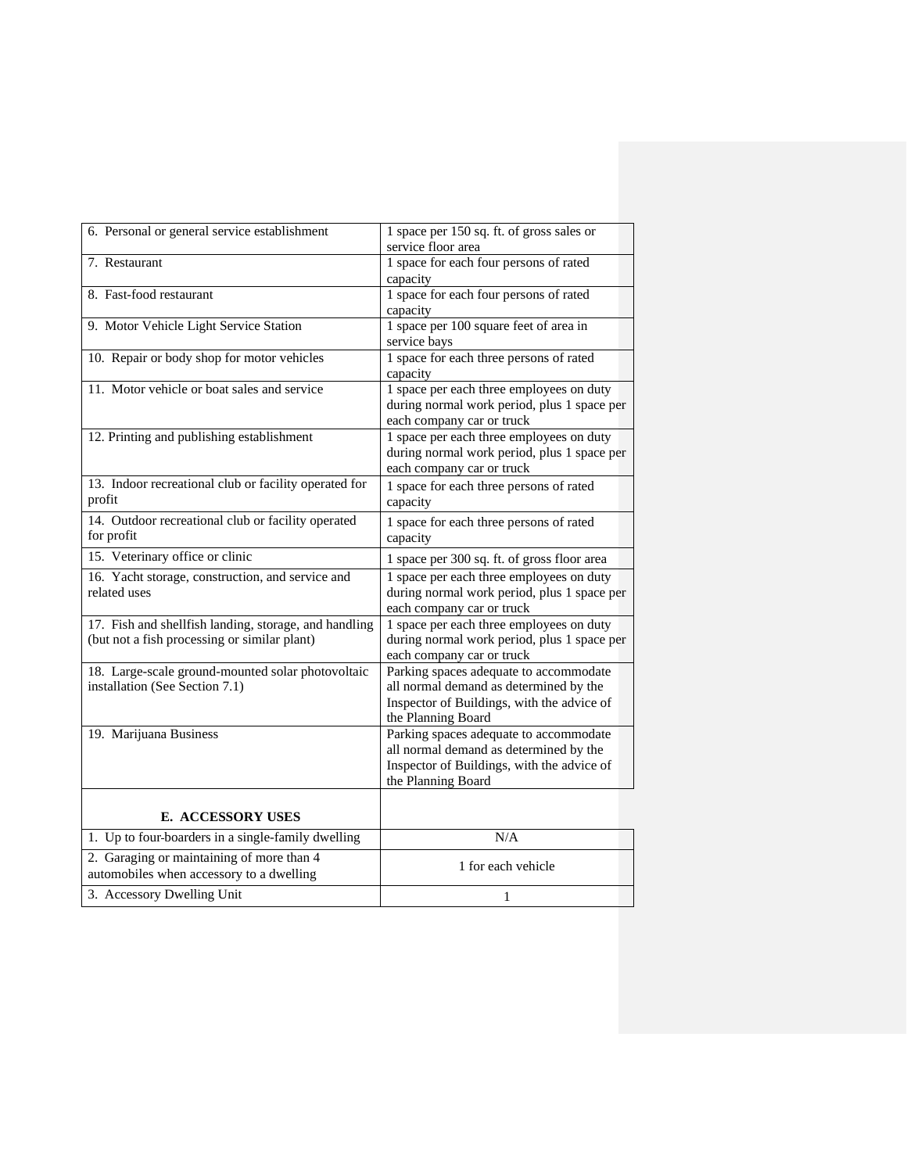| 6. Personal or general service establishment                                                          | 1 space per 150 sq. ft. of gross sales or<br>service floor area                                                                                      |
|-------------------------------------------------------------------------------------------------------|------------------------------------------------------------------------------------------------------------------------------------------------------|
| 7. Restaurant                                                                                         | 1 space for each four persons of rated<br>capacity                                                                                                   |
| 8. Fast-food restaurant                                                                               | 1 space for each four persons of rated<br>capacity                                                                                                   |
| 9. Motor Vehicle Light Service Station                                                                | 1 space per 100 square feet of area in<br>service bays                                                                                               |
| 10. Repair or body shop for motor vehicles                                                            | 1 space for each three persons of rated<br>capacity                                                                                                  |
| 11. Motor vehicle or boat sales and service                                                           | 1 space per each three employees on duty<br>during normal work period, plus 1 space per<br>each company car or truck                                 |
| 12. Printing and publishing establishment                                                             | 1 space per each three employees on duty<br>during normal work period, plus 1 space per<br>each company car or truck                                 |
| 13. Indoor recreational club or facility operated for<br>profit                                       | 1 space for each three persons of rated<br>capacity                                                                                                  |
| 14. Outdoor recreational club or facility operated<br>for profit                                      | 1 space for each three persons of rated<br>capacity                                                                                                  |
| 15. Veterinary office or clinic                                                                       | 1 space per 300 sq. ft. of gross floor area                                                                                                          |
| 16. Yacht storage, construction, and service and<br>related uses                                      | 1 space per each three employees on duty<br>during normal work period, plus 1 space per<br>each company car or truck                                 |
| 17. Fish and shellfish landing, storage, and handling<br>(but not a fish processing or similar plant) | 1 space per each three employees on duty<br>during normal work period, plus 1 space per<br>each company car or truck                                 |
| 18. Large-scale ground-mounted solar photovoltaic<br>installation (See Section 7.1)                   | Parking spaces adequate to accommodate<br>all normal demand as determined by the<br>Inspector of Buildings, with the advice of<br>the Planning Board |
| 19. Marijuana Business                                                                                | Parking spaces adequate to accommodate<br>all normal demand as determined by the<br>Inspector of Buildings, with the advice of<br>the Planning Board |
| <b>E. ACCESSORY USES</b>                                                                              |                                                                                                                                                      |
| 1. Up to four-boarders in a single-family dwelling                                                    | N/A                                                                                                                                                  |
| 2. Garaging or maintaining of more than 4<br>automobiles when accessory to a dwelling                 | 1 for each vehicle                                                                                                                                   |
| 3. Accessory Dwelling Unit                                                                            | 1                                                                                                                                                    |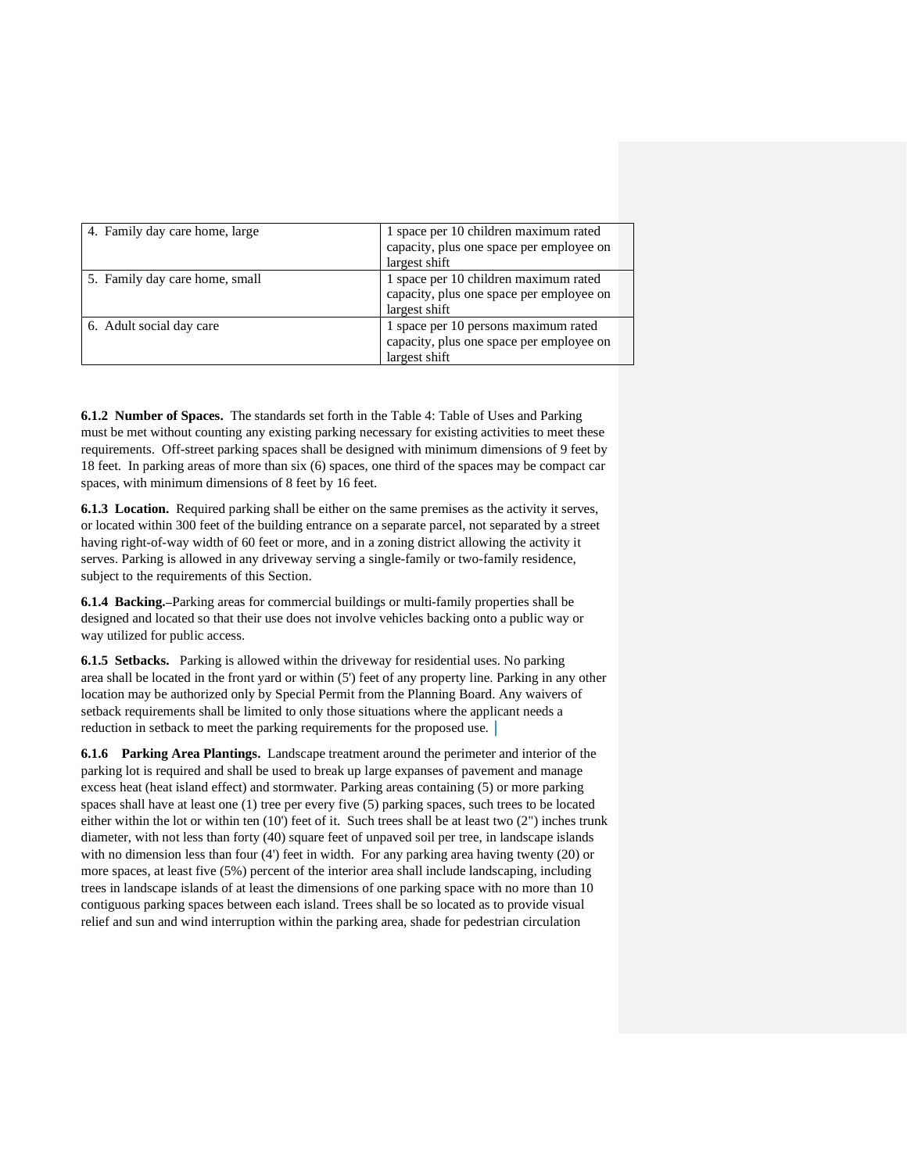| 4. Family day care home, large | 1 space per 10 children maximum rated    |
|--------------------------------|------------------------------------------|
|                                | capacity, plus one space per employee on |
|                                | largest shift                            |
| 5. Family day care home, small | 1 space per 10 children maximum rated    |
|                                | capacity, plus one space per employee on |
|                                | largest shift                            |
| 6. Adult social day care       | 1 space per 10 persons maximum rated     |
|                                | capacity, plus one space per employee on |
|                                | largest shift                            |

**6.1.2 Number of Spaces.** The standards set forth in the Table 4: Table of Uses and Parking must be met without counting any existing parking necessary for existing activities to meet these requirements. Off-street parking spaces shall be designed with minimum dimensions of 9 feet by 18 feet. In parking areas of more than six (6) spaces, one third of the spaces may be compact car spaces, with minimum dimensions of 8 feet by 16 feet.

**6.1.3 Location.** Required parking shall be either on the same premises as the activity it serves, or located within 300 feet of the building entrance on a separate parcel, not separated by a street having right-of-way width of 60 feet or more, and in a zoning district allowing the activity it serves. Parking is allowed in any driveway serving a single-family or two-family residence, subject to the requirements of this Section.

**6.1.4 Backing.** -Parking areas for commercial buildings or multi-family properties shall be designed and located so that their use does not involve vehicles backing onto a public way or way utilized for public access.

**6.1.5 Setbacks.** Parking is allowed within the driveway for residential uses. No parking area shall be located in the front yard or within (5') feet of any property line. Parking in any other location may be authorized only by Special Permit from the Planning Board. Any waivers of setback requirements shall be limited to only those situations where the applicant needs a reduction in setback to meet the parking requirements for the proposed use.

**6.1.6 Parking Area Plantings.** Landscape treatment around the perimeter and interior of the parking lot is required and shall be used to break up large expanses of pavement and manage excess heat (heat island effect) and stormwater. Parking areas containing (5) or more parking spaces shall have at least one (1) tree per every five (5) parking spaces, such trees to be located either within the lot or within ten (10') feet of it. Such trees shall be at least two (2") inches trunk diameter, with not less than forty (40) square feet of unpaved soil per tree, in landscape islands with no dimension less than four (4') feet in width. For any parking area having twenty (20) or more spaces, at least five (5%) percent of the interior area shall include landscaping, including trees in landscape islands of at least the dimensions of one parking space with no more than 10 contiguous parking spaces between each island. Trees shall be so located as to provide visual relief and sun and wind interruption within the parking area, shade for pedestrian circulation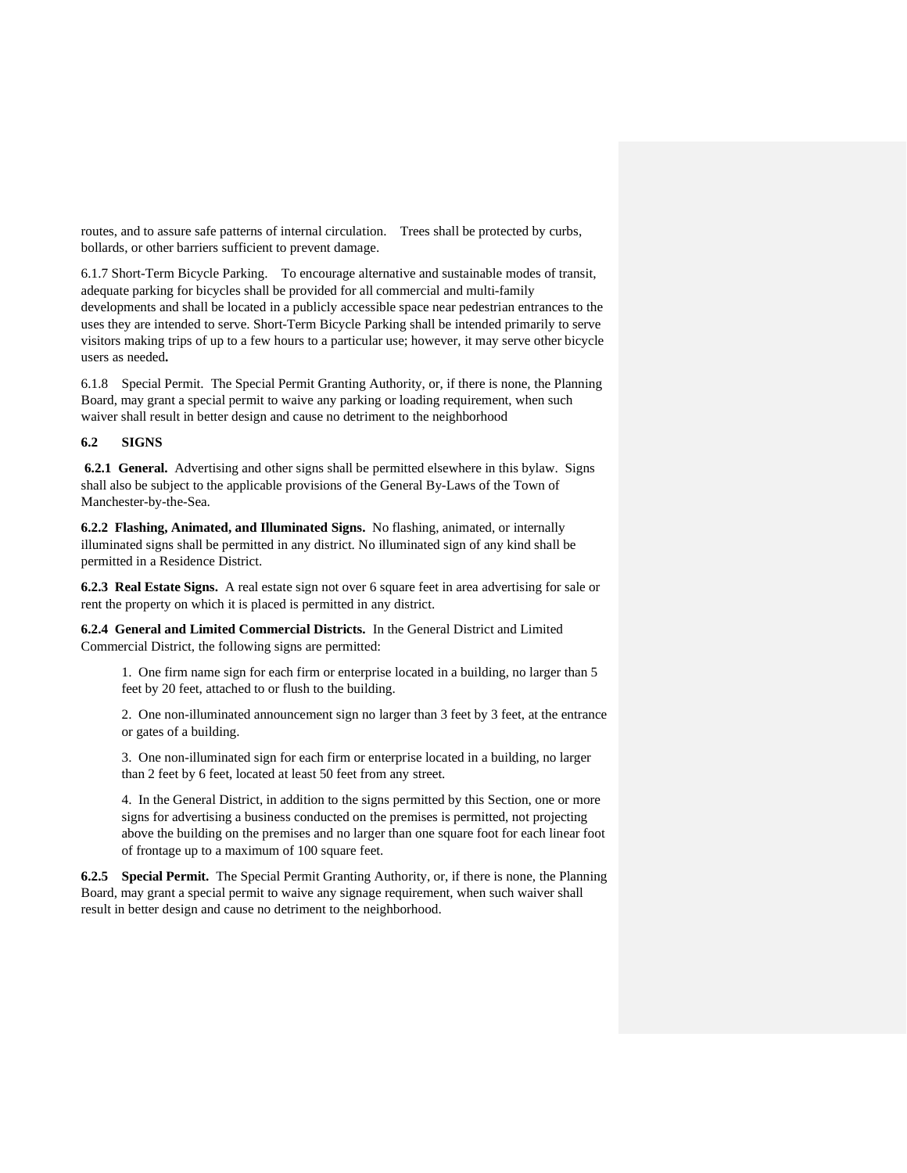routes, and to assure safe patterns of internal circulation. Trees shall be protected by curbs, bollards, or other barriers sufficient to prevent damage.

6.1.7 Short-Term Bicycle Parking. To encourage alternative and sustainable modes of transit, adequate parking for bicycles shall be provided for all commercial and multi-family developments and shall be located in a publicly accessible space near pedestrian entrances to the uses they are intended to serve. Short-Term Bicycle Parking shall be intended primarily to serve visitors making trips of up to a few hours to a particular use; however, it may serve other bicycle users as needed**.**

6.1.8 Special Permit. The Special Permit Granting Authority, or, if there is none, the Planning Board, may grant a special permit to waive any parking or loading requirement, when such waiver shall result in better design and cause no detriment to the neighborhood

## **6.2 SIGNS**

**6.2.1 General.** Advertising and other signs shall be permitted elsewhere in this bylaw. Signs shall also be subject to the applicable provisions of the General By-Laws of the Town of Manchester-by-the-Sea.

**6.2.2 Flashing, Animated, and Illuminated Signs.** No flashing, animated, or internally illuminated signs shall be permitted in any district. No illuminated sign of any kind shall be permitted in a Residence District.

**6.2.3 Real Estate Signs.** A real estate sign not over 6 square feet in area advertising for sale or rent the property on which it is placed is permitted in any district.

**6.2.4 General and Limited Commercial Districts.** In the General District and Limited Commercial District, the following signs are permitted:

1. One firm name sign for each firm or enterprise located in a building, no larger than 5 feet by 20 feet, attached to or flush to the building.

2. One non-illuminated announcement sign no larger than 3 feet by 3 feet, at the entrance or gates of a building.

3. One non-illuminated sign for each firm or enterprise located in a building, no larger than 2 feet by 6 feet, located at least 50 feet from any street.

4. In the General District, in addition to the signs permitted by this Section, one or more signs for advertising a business conducted on the premises is permitted, not projecting above the building on the premises and no larger than one square foot for each linear foot of frontage up to a maximum of 100 square feet.

**6.2.5 Special Permit.** The Special Permit Granting Authority, or, if there is none, the Planning Board, may grant a special permit to waive any signage requirement, when such waiver shall result in better design and cause no detriment to the neighborhood.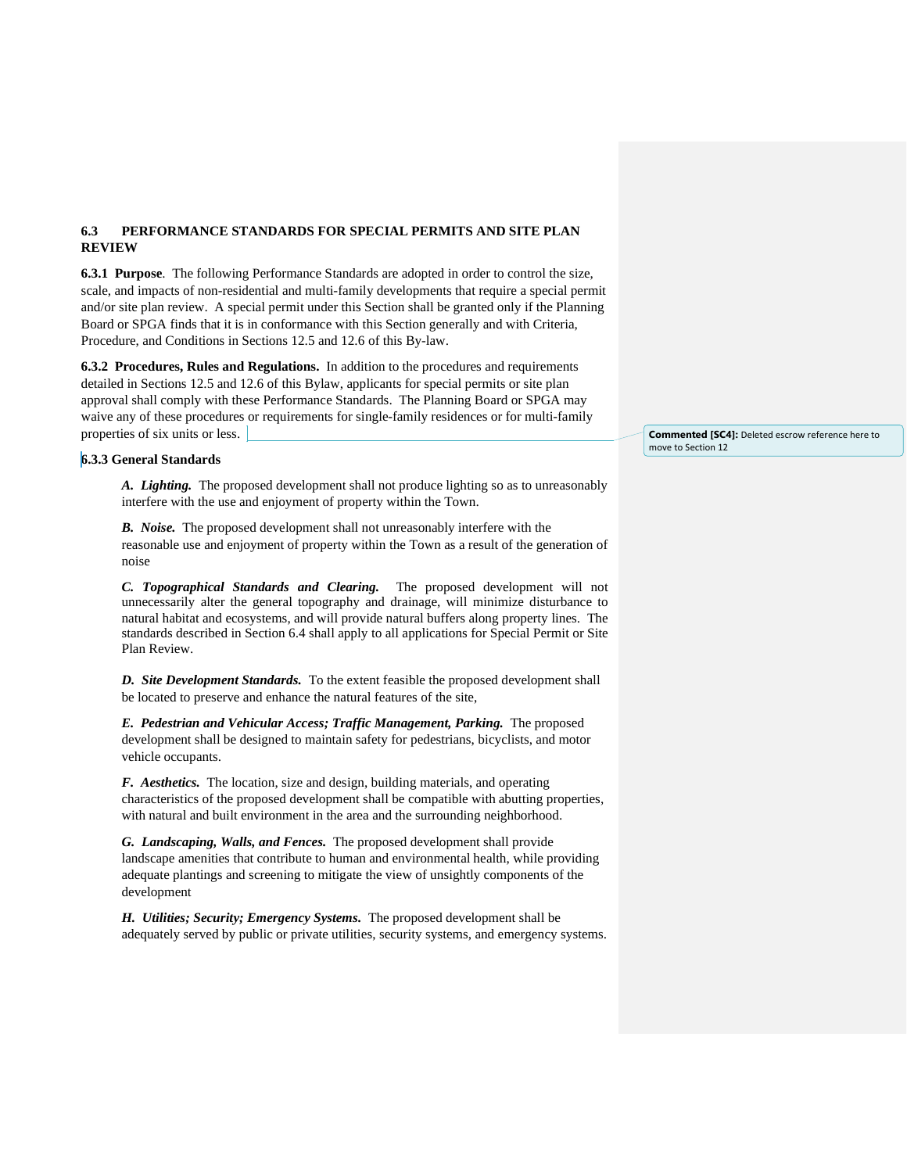# **6.3 PERFORMANCE STANDARDS FOR SPECIAL PERMITS AND SITE PLAN REVIEW**

**6.3.1 Purpose**. The following Performance Standards are adopted in order to control the size, scale, and impacts of non-residential and multi-family developments that require a special permit and/or site plan review. A special permit under this Section shall be granted only if the Planning Board or SPGA finds that it is in conformance with this Section generally and with Criteria, Procedure, and Conditions in Sections 12.5 and 12.6 of this By-law.

**6.3.2 Procedures, Rules and Regulations.** In addition to the procedures and requirements detailed in Sections 12.5 and 12.6 of this Bylaw, applicants for special permits or site plan approval shall comply with these Performance Standards. The Planning Board or SPGA may waive any of these procedures or requirements for single-family residences or for multi-family properties of six units or less.

## **6.3.3 General Standards**

*A. Lighting.* The proposed development shall not produce lighting so as to unreasonably interfere with the use and enjoyment of property within the Town.

*B. Noise.* The proposed development shall not unreasonably interfere with the reasonable use and enjoyment of property within the Town as a result of the generation of noise

*C. Topographical Standards and Clearing.*The proposed development will not unnecessarily alter the general topography and drainage, will minimize disturbance to natural habitat and ecosystems, and will provide natural buffers along property lines. The standards described in Section 6.4 shall apply to all applications for Special Permit or Site Plan Review.

*D. Site Development Standards.* To the extent feasible the proposed development shall be located to preserve and enhance the natural features of the site,

*E. Pedestrian and Vehicular Access; Traffic Management, Parking.* The proposed development shall be designed to maintain safety for pedestrians, bicyclists, and motor vehicle occupants.

*F. Aesthetics.* The location, size and design, building materials, and operating characteristics of the proposed development shall be compatible with abutting properties, with natural and built environment in the area and the surrounding neighborhood.

*G. Landscaping, Walls, and Fences.* The proposed development shall provide landscape amenities that contribute to human and environmental health, while providing adequate plantings and screening to mitigate the view of unsightly components of the development

*H. Utilities; Security; Emergency Systems.* The proposed development shall be adequately served by public or private utilities, security systems, and emergency systems.

**Commented [SC4]:** Deleted escrow reference here to move to Section 12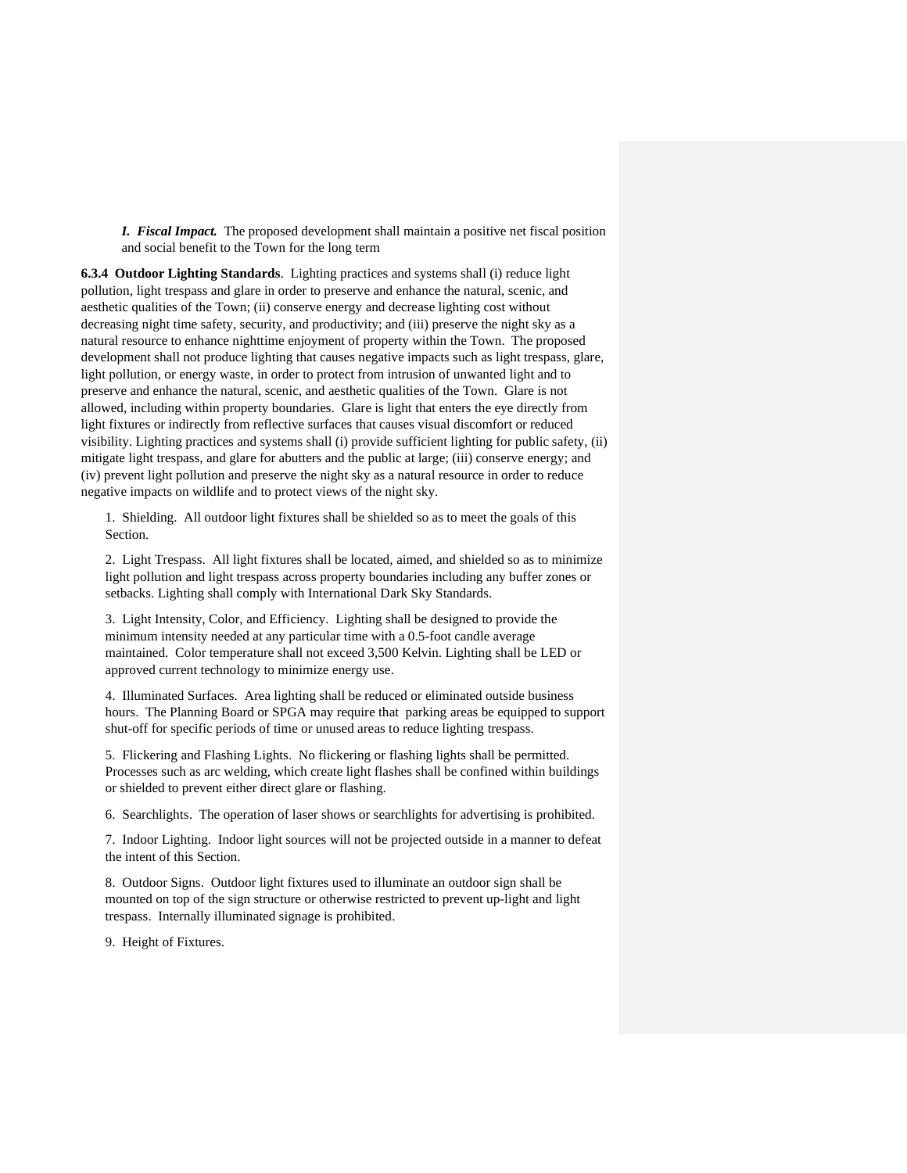*I. Fiscal Impact.* The proposed development shall maintain a positive net fiscal position and social benefit to the Town for the long term

**6.3.4 Outdoor Lighting Standards**. Lighting practices and systems shall (i) reduce light pollution, light trespass and glare in order to preserve and enhance the natural, scenic, and aesthetic qualities of the Town; (ii) conserve energy and decrease lighting cost without decreasing night time safety, security, and productivity; and (iii) preserve the night sky as a natural resource to enhance nighttime enjoyment of property within the Town. The proposed development shall not produce lighting that causes negative impacts such as light trespass, glare, light pollution, or energy waste, in order to protect from intrusion of unwanted light and to preserve and enhance the natural, scenic, and aesthetic qualities of the Town. Glare is not allowed, including within property boundaries. Glare is light that enters the eye directly from light fixtures or indirectly from reflective surfaces that causes visual discomfort or reduced visibility. Lighting practices and systems shall (i) provide sufficient lighting for public safety, (ii) mitigate light trespass, and glare for abutters and the public at large; (iii) conserve energy; and (iv) prevent light pollution and preserve the night sky as a natural resource in order to reduce negative impacts on wildlife and to protect views of the night sky.

1. Shielding. All outdoor light fixtures shall be shielded so as to meet the goals of this Section.

2. Light Trespass. All light fixtures shall be located, aimed, and shielded so as to minimize light pollution and light trespass across property boundaries including any buffer zones or setbacks. Lighting shall comply with International Dark Sky Standards.

3. Light Intensity, Color, and Efficiency. Lighting shall be designed to provide the minimum intensity needed at any particular time with a 0.5-foot candle average maintained. Color temperature shall not exceed 3,500 Kelvin. Lighting shall be LED or approved current technology to minimize energy use.

4. Illuminated Surfaces. Area lighting shall be reduced or eliminated outside business hours. The Planning Board or SPGA may require that parking areas be equipped to support shut-off for specific periods of time or unused areas to reduce lighting trespass.

5. Flickering and Flashing Lights. No flickering or flashing lights shall be permitted. Processes such as arc welding, which create light flashes shall be confined within buildings or shielded to prevent either direct glare or flashing.

6. Searchlights. The operation of laser shows or searchlights for advertising is prohibited.

7. Indoor Lighting. Indoor light sources will not be projected outside in a manner to defeat the intent of this Section.

8. Outdoor Signs. Outdoor light fixtures used to illuminate an outdoor sign shall be mounted on top of the sign structure or otherwise restricted to prevent up-light and light trespass. Internally illuminated signage is prohibited.

9. Height of Fixtures.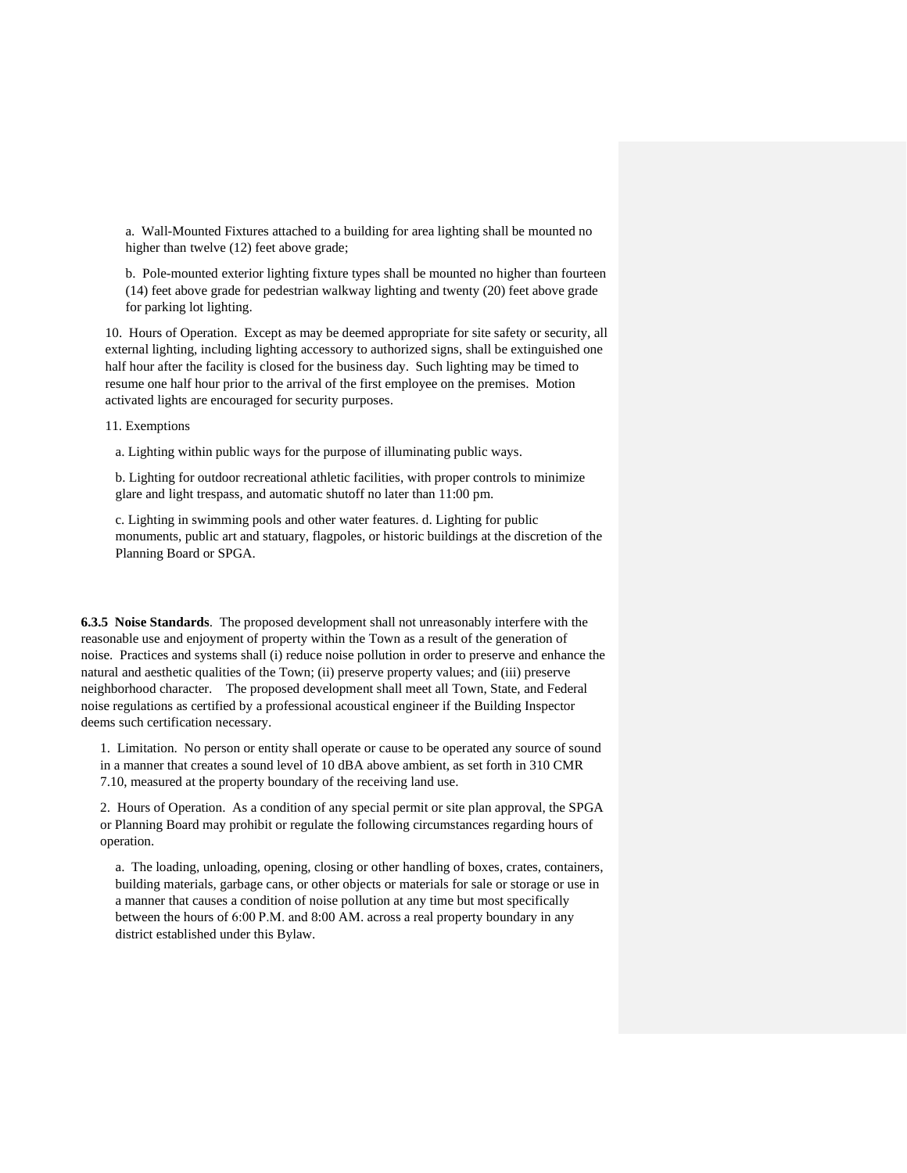a. Wall-Mounted Fixtures attached to a building for area lighting shall be mounted no higher than twelve (12) feet above grade;

b. Pole-mounted exterior lighting fixture types shall be mounted no higher than fourteen (14) feet above grade for pedestrian walkway lighting and twenty (20) feet above grade for parking lot lighting.

10. Hours of Operation. Except as may be deemed appropriate for site safety or security, all external lighting, including lighting accessory to authorized signs, shall be extinguished one half hour after the facility is closed for the business day. Such lighting may be timed to resume one half hour prior to the arrival of the first employee on the premises. Motion activated lights are encouraged for security purposes.

11. Exemptions

a. Lighting within public ways for the purpose of illuminating public ways.

b. Lighting for outdoor recreational athletic facilities, with proper controls to minimize glare and light trespass, and automatic shutoff no later than 11:00 pm.

c. Lighting in swimming pools and other water features. d. Lighting for public monuments, public art and statuary, flagpoles, or historic buildings at the discretion of the Planning Board or SPGA.

**6.3.5 Noise Standards**. The proposed development shall not unreasonably interfere with the reasonable use and enjoyment of property within the Town as a result of the generation of noise. Practices and systems shall (i) reduce noise pollution in order to preserve and enhance the natural and aesthetic qualities of the Town; (ii) preserve property values; and (iii) preserve neighborhood character. The proposed development shall meet all Town, State, and Federal noise regulations as certified by a professional acoustical engineer if the Building Inspector deems such certification necessary.

1. Limitation. No person or entity shall operate or cause to be operated any source of sound in a manner that creates a sound level of 10 dBA above ambient, as set forth in 310 CMR 7.10, measured at the property boundary of the receiving land use.

2. Hours of Operation. As a condition of any special permit or site plan approval, the SPGA or Planning Board may prohibit or regulate the following circumstances regarding hours of operation.

a. The loading, unloading, opening, closing or other handling of boxes, crates, containers, building materials, garbage cans, or other objects or materials for sale or storage or use in a manner that causes a condition of noise pollution at any time but most specifically between the hours of 6:00 P.M. and 8:00 AM. across a real property boundary in any district established under this Bylaw.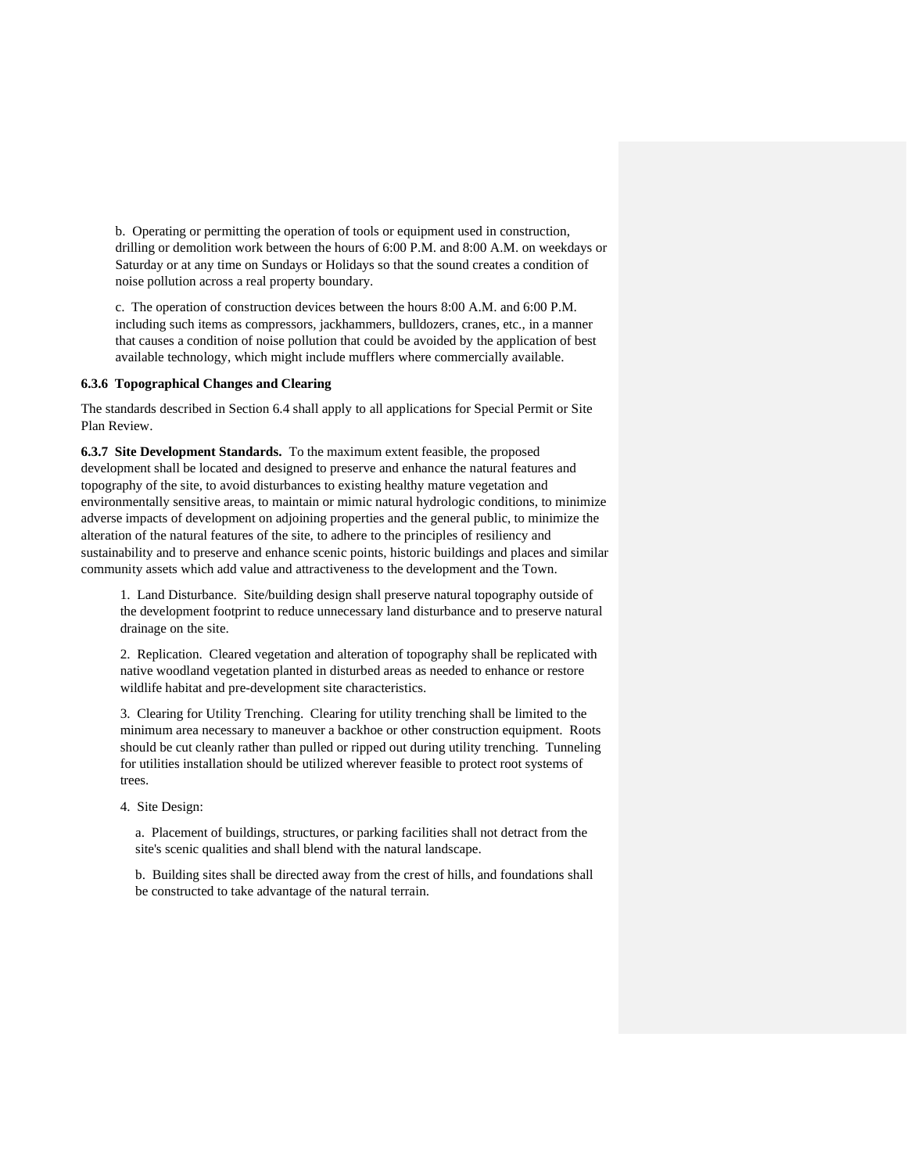b. Operating or permitting the operation of tools or equipment used in construction, drilling or demolition work between the hours of 6:00 P.M. and 8:00 A.M. on weekdays or Saturday or at any time on Sundays or Holidays so that the sound creates a condition of noise pollution across a real property boundary.

c. The operation of construction devices between the hours 8:00 A.M. and 6:00 P.M. including such items as compressors, jackhammers, bulldozers, cranes, etc., in a manner that causes a condition of noise pollution that could be avoided by the application of best available technology, which might include mufflers where commercially available.

## **6.3.6 Topographical Changes and Clearing**

The standards described in Section 6.4 shall apply to all applications for Special Permit or Site Plan Review.

**6.3.7 Site Development Standards.** To the maximum extent feasible, the proposed development shall be located and designed to preserve and enhance the natural features and topography of the site, to avoid disturbances to existing healthy mature vegetation and environmentally sensitive areas, to maintain or mimic natural hydrologic conditions, to minimize adverse impacts of development on adjoining properties and the general public, to minimize the alteration of the natural features of the site, to adhere to the principles of resiliency and sustainability and to preserve and enhance scenic points, historic buildings and places and similar community assets which add value and attractiveness to the development and the Town.

1. Land Disturbance. Site/building design shall preserve natural topography outside of the development footprint to reduce unnecessary land disturbance and to preserve natural drainage on the site.

2. Replication. Cleared vegetation and alteration of topography shall be replicated with native woodland vegetation planted in disturbed areas as needed to enhance or restore wildlife habitat and pre-development site characteristics.

3. Clearing for Utility Trenching. Clearing for utility trenching shall be limited to the minimum area necessary to maneuver a backhoe or other construction equipment. Roots should be cut cleanly rather than pulled or ripped out during utility trenching. Tunneling for utilities installation should be utilized wherever feasible to protect root systems of trees.

4. Site Design:

a. Placement of buildings, structures, or parking facilities shall not detract from the site's scenic qualities and shall blend with the natural landscape.

b. Building sites shall be directed away from the crest of hills, and foundations shall be constructed to take advantage of the natural terrain.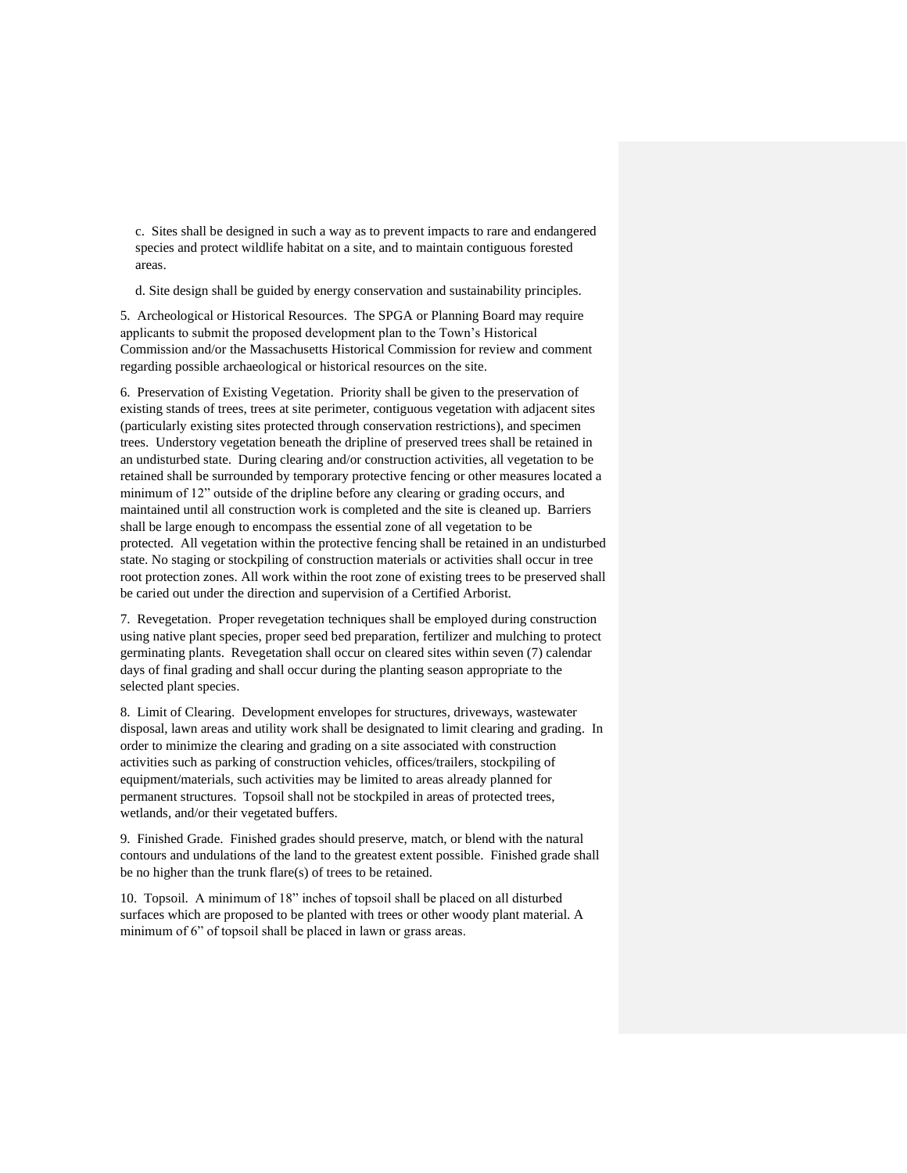c. Sites shall be designed in such a way as to prevent impacts to rare and endangered species and protect wildlife habitat on a site, and to maintain contiguous forested areas.

d. Site design shall be guided by energy conservation and sustainability principles.

5. Archeological or Historical Resources. The SPGA or Planning Board may require applicants to submit the proposed development plan to the Town's Historical Commission and/or the Massachusetts Historical Commission for review and comment regarding possible archaeological or historical resources on the site.

6. Preservation of Existing Vegetation. Priority shall be given to the preservation of existing stands of trees, trees at site perimeter, contiguous vegetation with adjacent sites (particularly existing sites protected through conservation restrictions), and specimen trees. Understory vegetation beneath the dripline of preserved trees shall be retained in an undisturbed state. During clearing and/or construction activities, all vegetation to be retained shall be surrounded by temporary protective fencing or other measures located a minimum of 12" outside of the dripline before any clearing or grading occurs, and maintained until all construction work is completed and the site is cleaned up. Barriers shall be large enough to encompass the essential zone of all vegetation to be protected. All vegetation within the protective fencing shall be retained in an undisturbed state. No staging or stockpiling of construction materials or activities shall occur in tree root protection zones. All work within the root zone of existing trees to be preserved shall be caried out under the direction and supervision of a Certified Arborist.

7. Revegetation. Proper revegetation techniques shall be employed during construction using native plant species, proper seed bed preparation, fertilizer and mulching to protect germinating plants. Revegetation shall occur on cleared sites within seven (7) calendar days of final grading and shall occur during the planting season appropriate to the selected plant species.

8. Limit of Clearing. Development envelopes for structures, driveways, wastewater disposal, lawn areas and utility work shall be designated to limit clearing and grading. In order to minimize the clearing and grading on a site associated with construction activities such as parking of construction vehicles, offices/trailers, stockpiling of equipment/materials, such activities may be limited to areas already planned for permanent structures. Topsoil shall not be stockpiled in areas of protected trees, wetlands, and/or their vegetated buffers.

9. Finished Grade. Finished grades should preserve, match, or blend with the natural contours and undulations of the land to the greatest extent possible. Finished grade shall be no higher than the trunk flare(s) of trees to be retained.

10. Topsoil. A minimum of 18" inches of topsoil shall be placed on all disturbed surfaces which are proposed to be planted with trees or other woody plant material. A minimum of 6" of topsoil shall be placed in lawn or grass areas.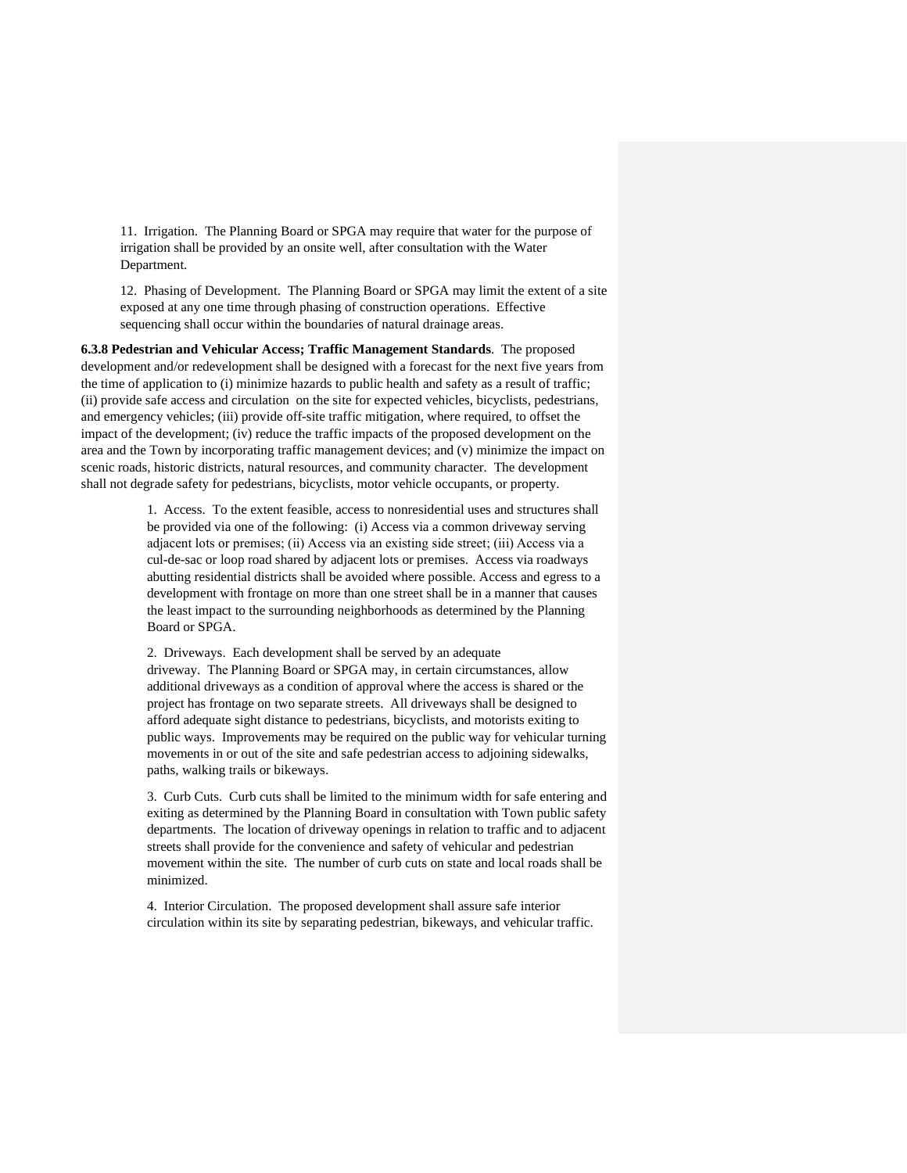11. Irrigation. The Planning Board or SPGA may require that water for the purpose of irrigation shall be provided by an onsite well, after consultation with the Water Department.

12. Phasing of Development. The Planning Board or SPGA may limit the extent of a site exposed at any one time through phasing of construction operations. Effective sequencing shall occur within the boundaries of natural drainage areas.

**6.3.8 Pedestrian and Vehicular Access; Traffic Management Standards**. The proposed development and/or redevelopment shall be designed with a forecast for the next five years from the time of application to (i) minimize hazards to public health and safety as a result of traffic; (ii) provide safe access and circulation on the site for expected vehicles, bicyclists, pedestrians, and emergency vehicles; (iii) provide off-site traffic mitigation, where required, to offset the impact of the development; (iv) reduce the traffic impacts of the proposed development on the area and the Town by incorporating traffic management devices; and (v) minimize the impact on scenic roads, historic districts, natural resources, and community character. The development shall not degrade safety for pedestrians, bicyclists, motor vehicle occupants, or property.

> 1. Access. To the extent feasible, access to nonresidential uses and structures shall be provided via one of the following: (i) Access via a common driveway serving adjacent lots or premises; (ii) Access via an existing side street; (iii) Access via a cul-de-sac or loop road shared by adjacent lots or premises. Access via roadways abutting residential districts shall be avoided where possible. Access and egress to a development with frontage on more than one street shall be in a manner that causes the least impact to the surrounding neighborhoods as determined by the Planning Board or SPGA.

> 2. Driveways. Each development shall be served by an adequate driveway. The Planning Board or SPGA may, in certain circumstances, allow additional driveways as a condition of approval where the access is shared or the project has frontage on two separate streets. All driveways shall be designed to afford adequate sight distance to pedestrians, bicyclists, and motorists exiting to public ways. Improvements may be required on the public way for vehicular turning movements in or out of the site and safe pedestrian access to adjoining sidewalks, paths, walking trails or bikeways.

> 3. Curb Cuts. Curb cuts shall be limited to the minimum width for safe entering and exiting as determined by the Planning Board in consultation with Town public safety departments. The location of driveway openings in relation to traffic and to adjacent streets shall provide for the convenience and safety of vehicular and pedestrian movement within the site. The number of curb cuts on state and local roads shall be minimized.

4. Interior Circulation. The proposed development shall assure safe interior circulation within its site by separating pedestrian, bikeways, and vehicular traffic.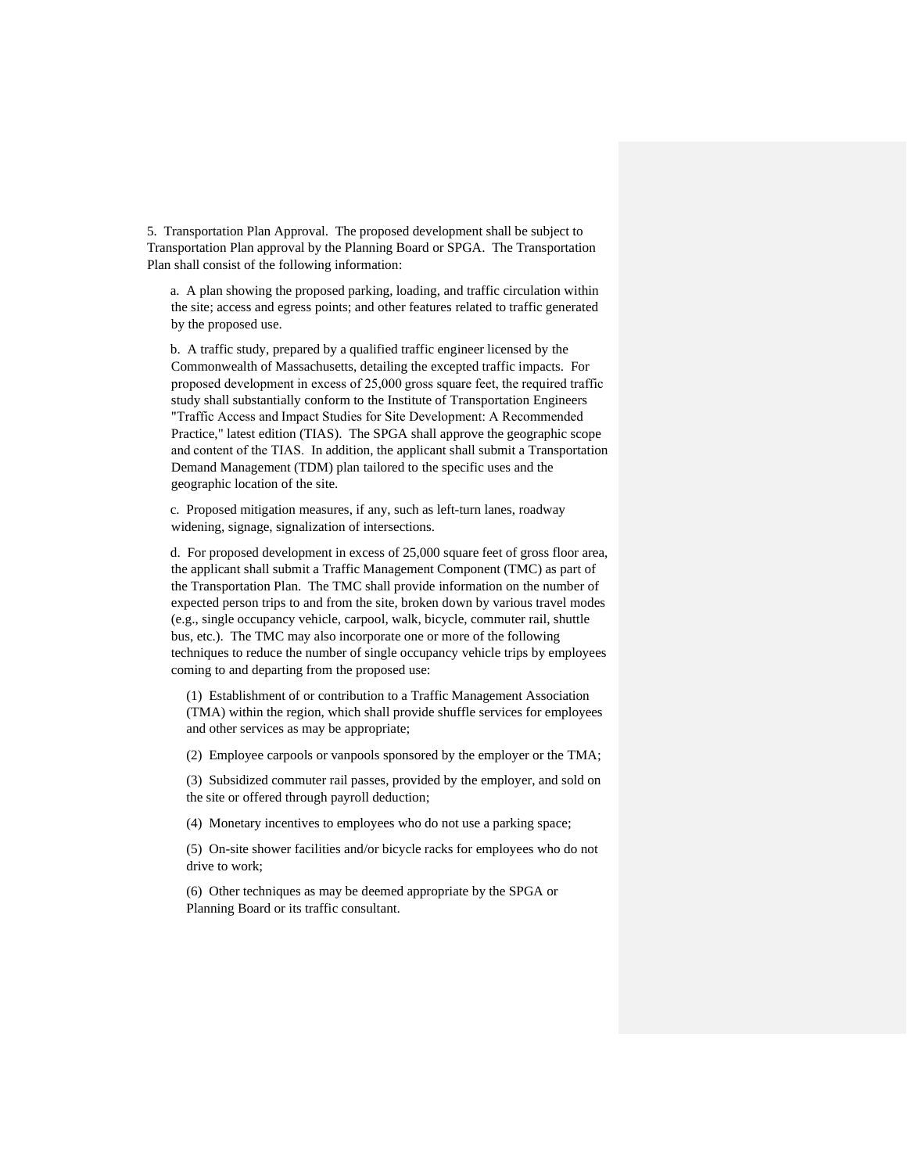5. Transportation Plan Approval. The proposed development shall be subject to Transportation Plan approval by the Planning Board or SPGA. The Transportation Plan shall consist of the following information:

a. A plan showing the proposed parking, loading, and traffic circulation within the site; access and egress points; and other features related to traffic generated by the proposed use.

b. A traffic study, prepared by a qualified traffic engineer licensed by the Commonwealth of Massachusetts, detailing the excepted traffic impacts. For proposed development in excess of 25,000 gross square feet, the required traffic study shall substantially conform to the Institute of Transportation Engineers "Traffic Access and Impact Studies for Site Development: A Recommended Practice," latest edition (TIAS). The SPGA shall approve the geographic scope and content of the TIAS. In addition, the applicant shall submit a Transportation Demand Management (TDM) plan tailored to the specific uses and the geographic location of the site.

c. Proposed mitigation measures, if any, such as left-turn lanes, roadway widening, signage, signalization of intersections.

d. For proposed development in excess of 25,000 square feet of gross floor area, the applicant shall submit a Traffic Management Component (TMC) as part of the Transportation Plan. The TMC shall provide information on the number of expected person trips to and from the site, broken down by various travel modes (e.g., single occupancy vehicle, carpool, walk, bicycle, commuter rail, shuttle bus, etc.). The TMC may also incorporate one or more of the following techniques to reduce the number of single occupancy vehicle trips by employees coming to and departing from the proposed use:

(1) Establishment of or contribution to a Traffic Management Association (TMA) within the region, which shall provide shuffle services for employees and other services as may be appropriate;

(2) Employee carpools or vanpools sponsored by the employer or the TMA;

(3) Subsidized commuter rail passes, provided by the employer, and sold on the site or offered through payroll deduction;

(4) Monetary incentives to employees who do not use a parking space;

(5) On-site shower facilities and/or bicycle racks for employees who do not drive to work;

(6) Other techniques as may be deemed appropriate by the SPGA or Planning Board or its traffic consultant.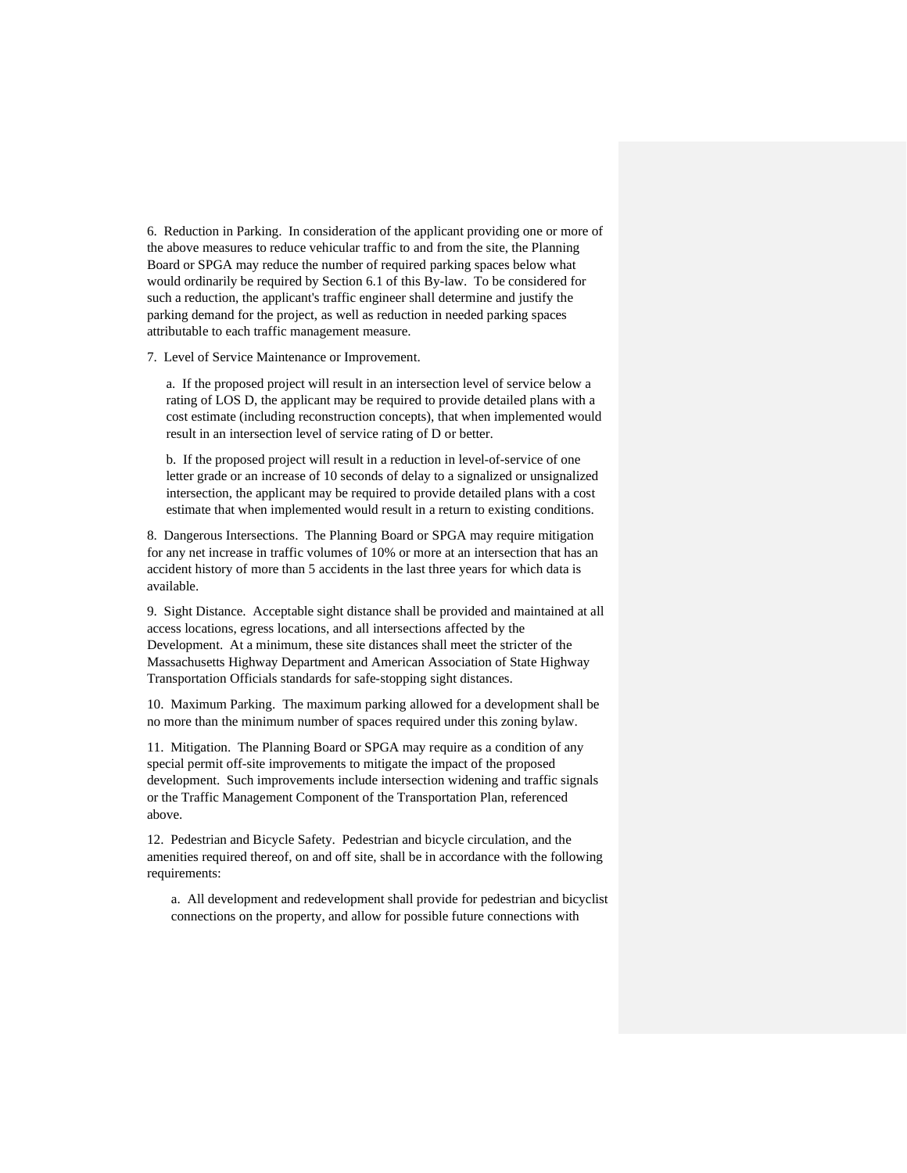6. Reduction in Parking. In consideration of the applicant providing one or more of the above measures to reduce vehicular traffic to and from the site, the Planning Board or SPGA may reduce the number of required parking spaces below what would ordinarily be required by Section 6.1 of this By-law. To be considered for such a reduction, the applicant's traffic engineer shall determine and justify the parking demand for the project, as well as reduction in needed parking spaces attributable to each traffic management measure.

7. Level of Service Maintenance or Improvement.

a. If the proposed project will result in an intersection level of service below a rating of LOS D, the applicant may be required to provide detailed plans with a cost estimate (including reconstruction concepts), that when implemented would result in an intersection level of service rating of D or better.

b. If the proposed project will result in a reduction in level-of-service of one letter grade or an increase of 10 seconds of delay to a signalized or unsignalized intersection, the applicant may be required to provide detailed plans with a cost estimate that when implemented would result in a return to existing conditions.

8. Dangerous Intersections. The Planning Board or SPGA may require mitigation for any net increase in traffic volumes of 10% or more at an intersection that has an accident history of more than 5 accidents in the last three years for which data is available.

9. Sight Distance. Acceptable sight distance shall be provided and maintained at all access locations, egress locations, and all intersections affected by the Development. At a minimum, these site distances shall meet the stricter of the Massachusetts Highway Department and American Association of State Highway Transportation Officials standards for safe-stopping sight distances.

10. Maximum Parking. The maximum parking allowed for a development shall be no more than the minimum number of spaces required under this zoning bylaw.

11. Mitigation. The Planning Board or SPGA may require as a condition of any special permit off-site improvements to mitigate the impact of the proposed development. Such improvements include intersection widening and traffic signals or the Traffic Management Component of the Transportation Plan, referenced above.

12. Pedestrian and Bicycle Safety. Pedestrian and bicycle circulation, and the amenities required thereof, on and off site, shall be in accordance with the following requirements:

a. All development and redevelopment shall provide for pedestrian and bicyclist connections on the property, and allow for possible future connections with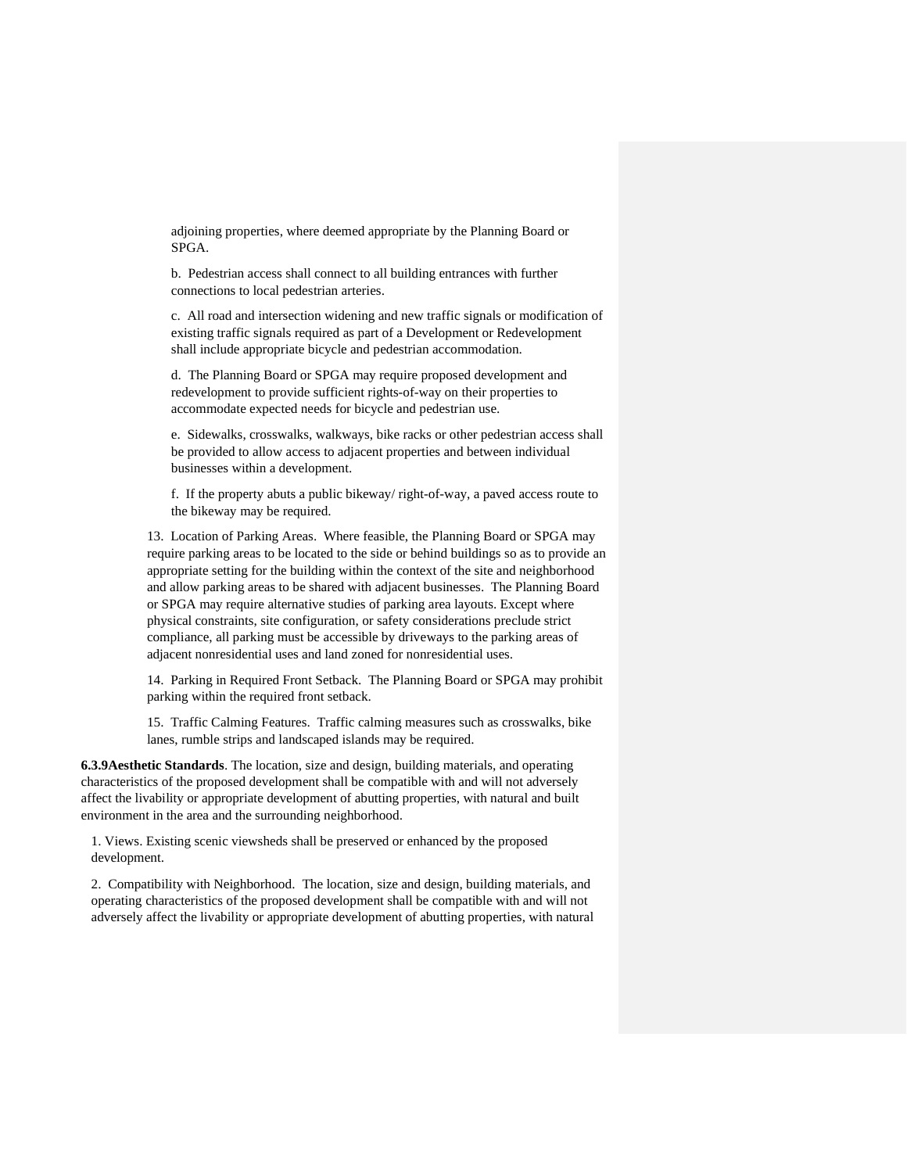adjoining properties, where deemed appropriate by the Planning Board or SPGA.

b. Pedestrian access shall connect to all building entrances with further connections to local pedestrian arteries.

c. All road and intersection widening and new traffic signals or modification of existing traffic signals required as part of a Development or Redevelopment shall include appropriate bicycle and pedestrian accommodation.

d. The Planning Board or SPGA may require proposed development and redevelopment to provide sufficient rights-of-way on their properties to accommodate expected needs for bicycle and pedestrian use.

e. Sidewalks, crosswalks, walkways, bike racks or other pedestrian access shall be provided to allow access to adjacent properties and between individual businesses within a development.

f. If the property abuts a public bikeway/ right-of-way, a paved access route to the bikeway may be required.

13. Location of Parking Areas. Where feasible, the Planning Board or SPGA may require parking areas to be located to the side or behind buildings so as to provide an appropriate setting for the building within the context of the site and neighborhood and allow parking areas to be shared with adjacent businesses. The Planning Board or SPGA may require alternative studies of parking area layouts. Except where physical constraints, site configuration, or safety considerations preclude strict compliance, all parking must be accessible by driveways to the parking areas of adjacent nonresidential uses and land zoned for nonresidential uses.

14. Parking in Required Front Setback. The Planning Board or SPGA may prohibit parking within the required front setback.

15. Traffic Calming Features. Traffic calming measures such as crosswalks, bike lanes, rumble strips and landscaped islands may be required.

**6.3.9Aesthetic Standards**. The location, size and design, building materials, and operating characteristics of the proposed development shall be compatible with and will not adversely affect the livability or appropriate development of abutting properties, with natural and built environment in the area and the surrounding neighborhood.

1. Views. Existing scenic viewsheds shall be preserved or enhanced by the proposed development.

2. Compatibility with Neighborhood. The location, size and design, building materials, and operating characteristics of the proposed development shall be compatible with and will not adversely affect the livability or appropriate development of abutting properties, with natural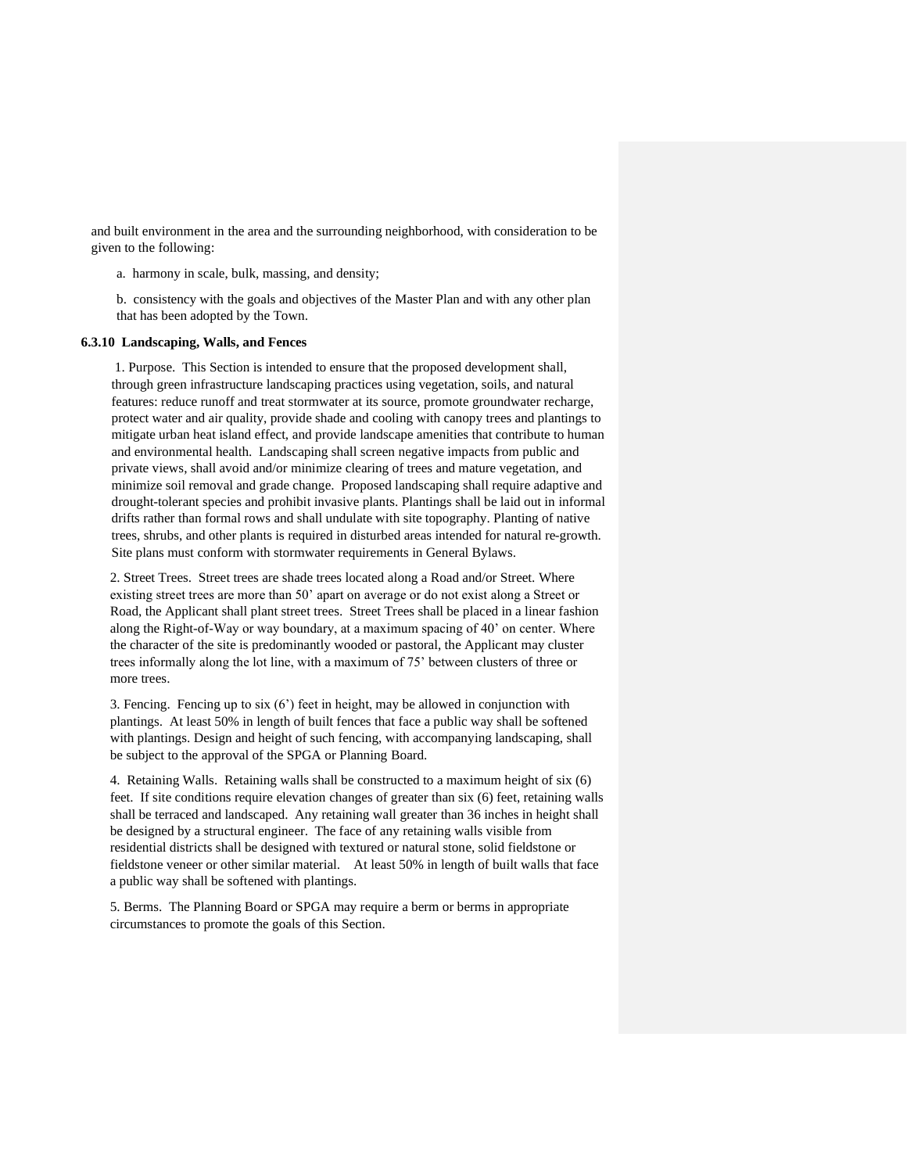and built environment in the area and the surrounding neighborhood, with consideration to be given to the following:

a. harmony in scale, bulk, massing, and density;

b. consistency with the goals and objectives of the Master Plan and with any other plan that has been adopted by the Town.

## **6.3.10 Landscaping, Walls, and Fences**

1. Purpose. This Section is intended to ensure that the proposed development shall, through green infrastructure landscaping practices using vegetation, soils, and natural features: reduce runoff and treat stormwater at its source, promote groundwater recharge, protect water and air quality, provide shade and cooling with canopy trees and plantings to mitigate urban heat island effect, and provide landscape amenities that contribute to human and environmental health. Landscaping shall screen negative impacts from public and private views, shall avoid and/or minimize clearing of trees and mature vegetation, and minimize soil removal and grade change. Proposed landscaping shall require adaptive and drought-tolerant species and prohibit invasive plants. Plantings shall be laid out in informal drifts rather than formal rows and shall undulate with site topography. Planting of native trees, shrubs, and other plants is required in disturbed areas intended for natural re-growth. Site plans must conform with stormwater requirements in General Bylaws.

2. Street Trees. Street trees are shade trees located along a Road and/or Street. Where existing street trees are more than 50' apart on average or do not exist along a Street or Road, the Applicant shall plant street trees. Street Trees shall be placed in a linear fashion along the Right-of-Way or way boundary, at a maximum spacing of 40' on center. Where the character of the site is predominantly wooded or pastoral, the Applicant may cluster trees informally along the lot line, with a maximum of 75' between clusters of three or more trees.

3. Fencing. Fencing up to six (6') feet in height, may be allowed in conjunction with plantings. At least 50% in length of built fences that face a public way shall be softened with plantings. Design and height of such fencing, with accompanying landscaping, shall be subject to the approval of the SPGA or Planning Board.

4. Retaining Walls. Retaining walls shall be constructed to a maximum height of six (6) feet. If site conditions require elevation changes of greater than six (6) feet, retaining walls shall be terraced and landscaped. Any retaining wall greater than 36 inches in height shall be designed by a structural engineer. The face of any retaining walls visible from residential districts shall be designed with textured or natural stone, solid fieldstone or fieldstone veneer or other similar material. At least 50% in length of built walls that face a public way shall be softened with plantings.

5. Berms. The Planning Board or SPGA may require a berm or berms in appropriate circumstances to promote the goals of this Section.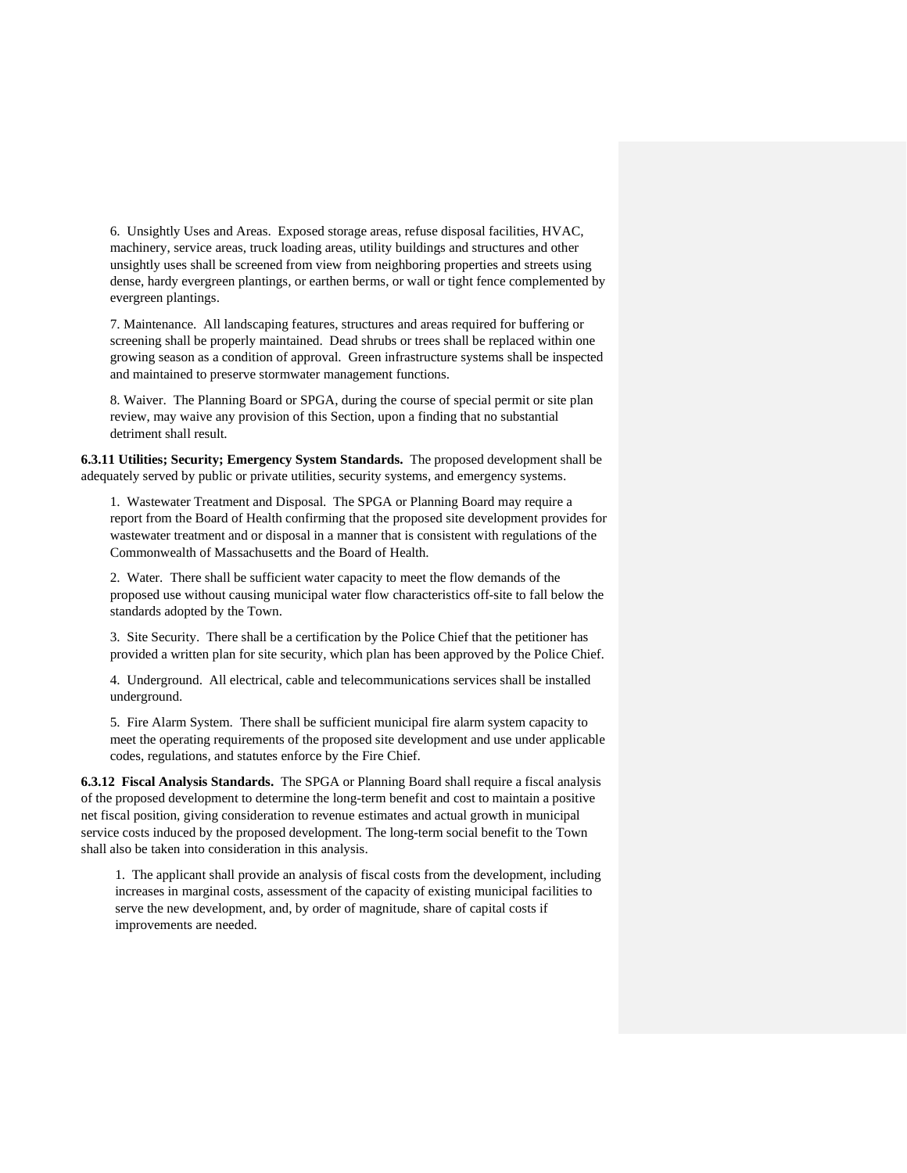6. Unsightly Uses and Areas. Exposed storage areas, refuse disposal facilities, HVAC, machinery, service areas, truck loading areas, utility buildings and structures and other unsightly uses shall be screened from view from neighboring properties and streets using dense, hardy evergreen plantings, or earthen berms, or wall or tight fence complemented by evergreen plantings.

7. Maintenance. All landscaping features, structures and areas required for buffering or screening shall be properly maintained. Dead shrubs or trees shall be replaced within one growing season as a condition of approval. Green infrastructure systems shall be inspected and maintained to preserve stormwater management functions.

8. Waiver. The Planning Board or SPGA, during the course of special permit or site plan review, may waive any provision of this Section, upon a finding that no substantial detriment shall result.

**6.3.11 Utilities; Security; Emergency System Standards.** The proposed development shall be adequately served by public or private utilities, security systems, and emergency systems.

1. Wastewater Treatment and Disposal. The SPGA or Planning Board may require a report from the Board of Health confirming that the proposed site development provides for wastewater treatment and or disposal in a manner that is consistent with regulations of the Commonwealth of Massachusetts and the Board of Health.

2. Water. There shall be sufficient water capacity to meet the flow demands of the proposed use without causing municipal water flow characteristics off-site to fall below the standards adopted by the Town.

3. Site Security. There shall be a certification by the Police Chief that the petitioner has provided a written plan for site security, which plan has been approved by the Police Chief.

4. Underground. All electrical, cable and telecommunications services shall be installed underground.

5. Fire Alarm System. There shall be sufficient municipal fire alarm system capacity to meet the operating requirements of the proposed site development and use under applicable codes, regulations, and statutes enforce by the Fire Chief.

**6.3.12 Fiscal Analysis Standards.** The SPGA or Planning Board shall require a fiscal analysis of the proposed development to determine the long-term benefit and cost to maintain a positive net fiscal position, giving consideration to revenue estimates and actual growth in municipal service costs induced by the proposed development. The long-term social benefit to the Town shall also be taken into consideration in this analysis.

1. The applicant shall provide an analysis of fiscal costs from the development, including increases in marginal costs, assessment of the capacity of existing municipal facilities to serve the new development, and, by order of magnitude, share of capital costs if improvements are needed.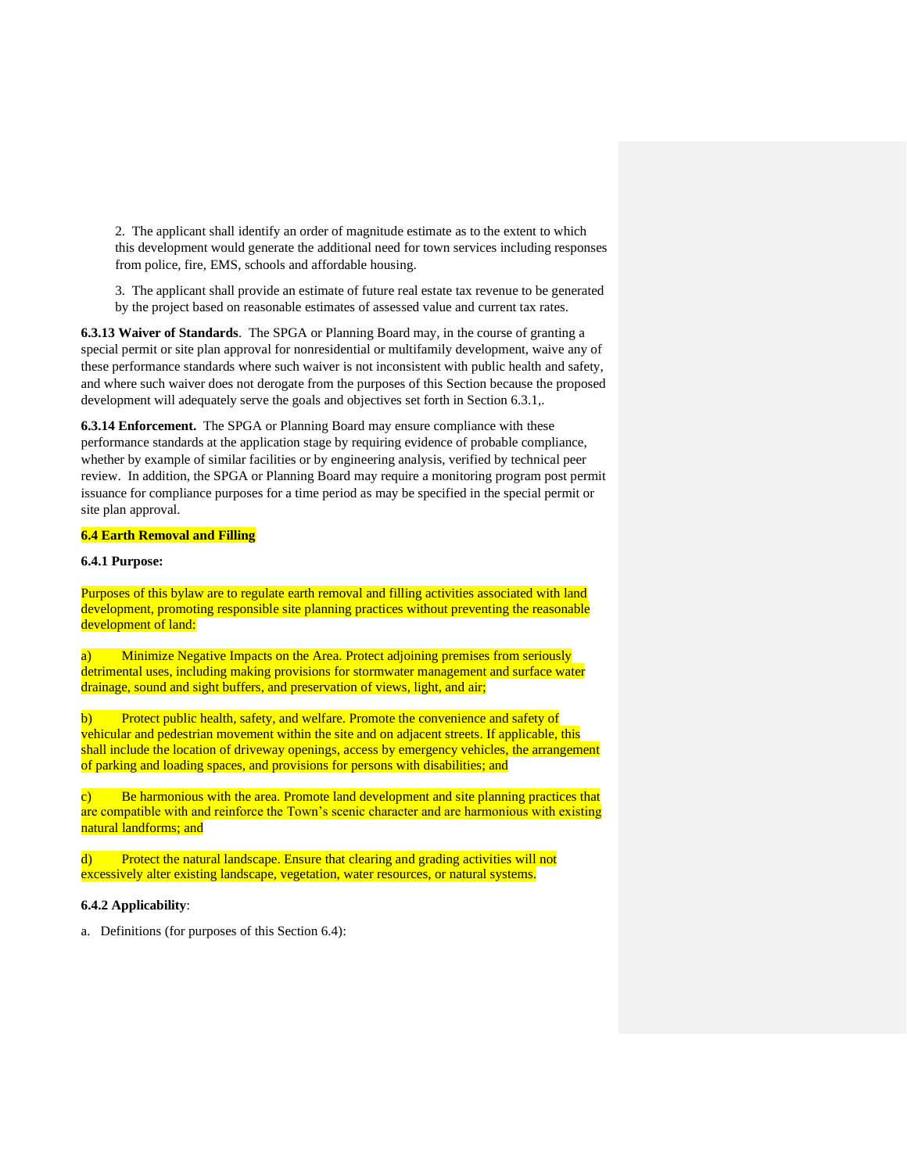2. The applicant shall identify an order of magnitude estimate as to the extent to which this development would generate the additional need for town services including responses from police, fire, EMS, schools and affordable housing.

3. The applicant shall provide an estimate of future real estate tax revenue to be generated by the project based on reasonable estimates of assessed value and current tax rates.

**6.3.13 Waiver of Standards**. The SPGA or Planning Board may, in the course of granting a special permit or site plan approval for nonresidential or multifamily development, waive any of these performance standards where such waiver is not inconsistent with public health and safety, and where such waiver does not derogate from the purposes of this Section because the proposed development will adequately serve the goals and objectives set forth in Section 6.3.1,.

**6.3.14 Enforcement.** The SPGA or Planning Board may ensure compliance with these performance standards at the application stage by requiring evidence of probable compliance, whether by example of similar facilities or by engineering analysis, verified by technical peer review. In addition, the SPGA or Planning Board may require a monitoring program post permit issuance for compliance purposes for a time period as may be specified in the special permit or site plan approval.

### **6.4 Earth Removal and Filling**

## **6.4.1 Purpose:**

Purposes of this bylaw are to regulate earth removal and filling activities associated with land development, promoting responsible site planning practices without preventing the reasonable development of land:

a) Minimize Negative Impacts on the Area. Protect adjoining premises from seriously detrimental uses, including making provisions for stormwater management and surface water drainage, sound and sight buffers, and preservation of views, light, and air;

b) Protect public health, safety, and welfare. Promote the convenience and safety of vehicular and pedestrian movement within the site and on adjacent streets. If applicable, this shall include the location of driveway openings, access by emergency vehicles, the arrangement of parking and loading spaces, and provisions for persons with disabilities; and

c) Be harmonious with the area. Promote land development and site planning practices that are compatible with and reinforce the Town's scenic character and are harmonious with existing natural landforms; and

d) Protect the natural landscape. Ensure that clearing and grading activities will not excessively alter existing landscape, vegetation, water resources, or natural systems.

### **6.4.2 Applicability**:

a. Definitions (for purposes of this Section 6.4):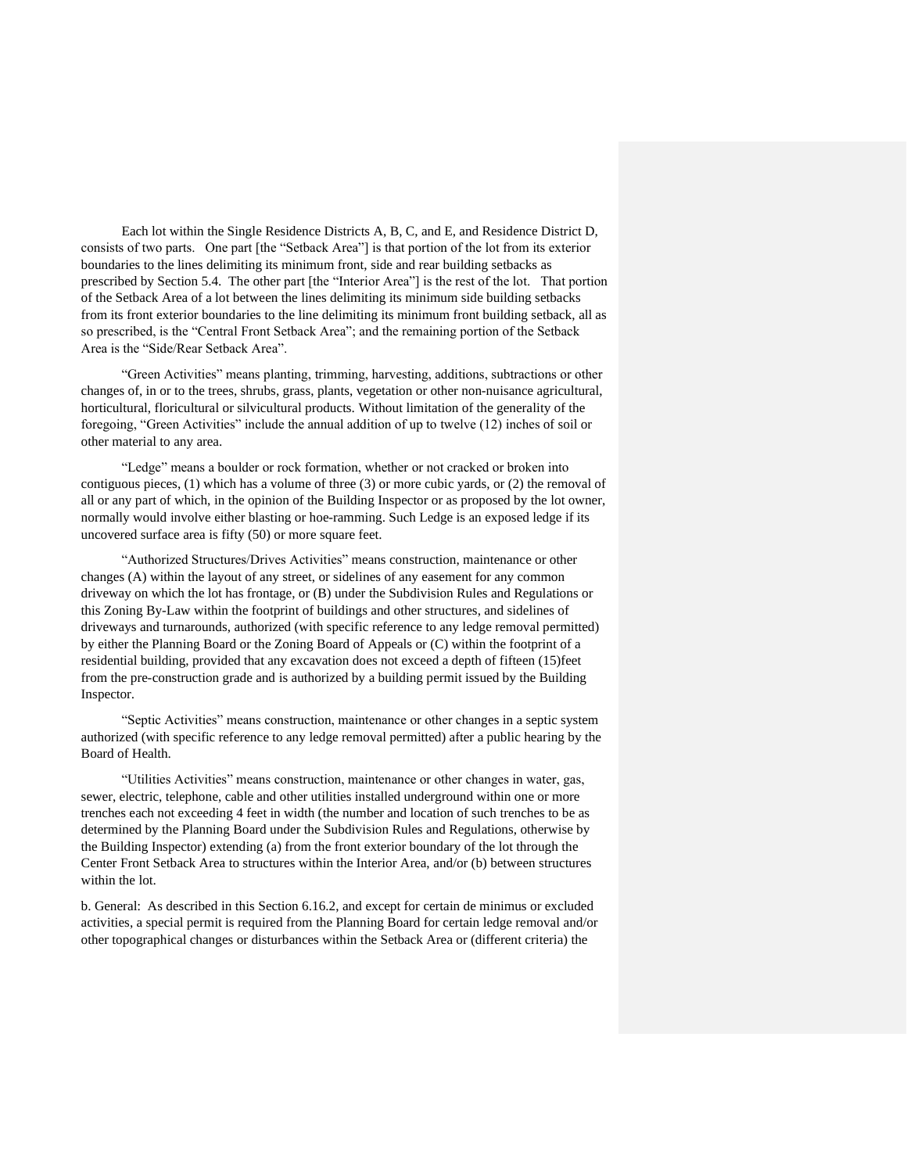Each lot within the Single Residence Districts A, B, C, and E, and Residence District D, consists of two parts. One part [the "Setback Area"] is that portion of the lot from its exterior boundaries to the lines delimiting its minimum front, side and rear building setbacks as prescribed by Section 5.4. The other part [the "Interior Area"] is the rest of the lot. That portion of the Setback Area of a lot between the lines delimiting its minimum side building setbacks from its front exterior boundaries to the line delimiting its minimum front building setback, all as so prescribed, is the "Central Front Setback Area"; and the remaining portion of the Setback Area is the "Side/Rear Setback Area".

"Green Activities" means planting, trimming, harvesting, additions, subtractions or other changes of, in or to the trees, shrubs, grass, plants, vegetation or other non-nuisance agricultural, horticultural, floricultural or silvicultural products. Without limitation of the generality of the foregoing, "Green Activities" include the annual addition of up to twelve (12) inches of soil or other material to any area.

"Ledge" means a boulder or rock formation, whether or not cracked or broken into contiguous pieces, (1) which has a volume of three (3) or more cubic yards, or (2) the removal of all or any part of which, in the opinion of the Building Inspector or as proposed by the lot owner, normally would involve either blasting or hoe-ramming. Such Ledge is an exposed ledge if its uncovered surface area is fifty (50) or more square feet.

"Authorized Structures/Drives Activities" means construction, maintenance or other changes (A) within the layout of any street, or sidelines of any easement for any common driveway on which the lot has frontage, or (B) under the Subdivision Rules and Regulations or this Zoning By-Law within the footprint of buildings and other structures, and sidelines of driveways and turnarounds, authorized (with specific reference to any ledge removal permitted) by either the Planning Board or the Zoning Board of Appeals or (C) within the footprint of a residential building, provided that any excavation does not exceed a depth of fifteen (15)feet from the pre-construction grade and is authorized by a building permit issued by the Building Inspector.

"Septic Activities" means construction, maintenance or other changes in a septic system authorized (with specific reference to any ledge removal permitted) after a public hearing by the Board of Health.

"Utilities Activities" means construction, maintenance or other changes in water, gas, sewer, electric, telephone, cable and other utilities installed underground within one or more trenches each not exceeding 4 feet in width (the number and location of such trenches to be as determined by the Planning Board under the Subdivision Rules and Regulations, otherwise by the Building Inspector) extending (a) from the front exterior boundary of the lot through the Center Front Setback Area to structures within the Interior Area, and/or (b) between structures within the lot.

b. General: As described in this Section 6.16.2, and except for certain de minimus or excluded activities, a special permit is required from the Planning Board for certain ledge removal and/or other topographical changes or disturbances within the Setback Area or (different criteria) the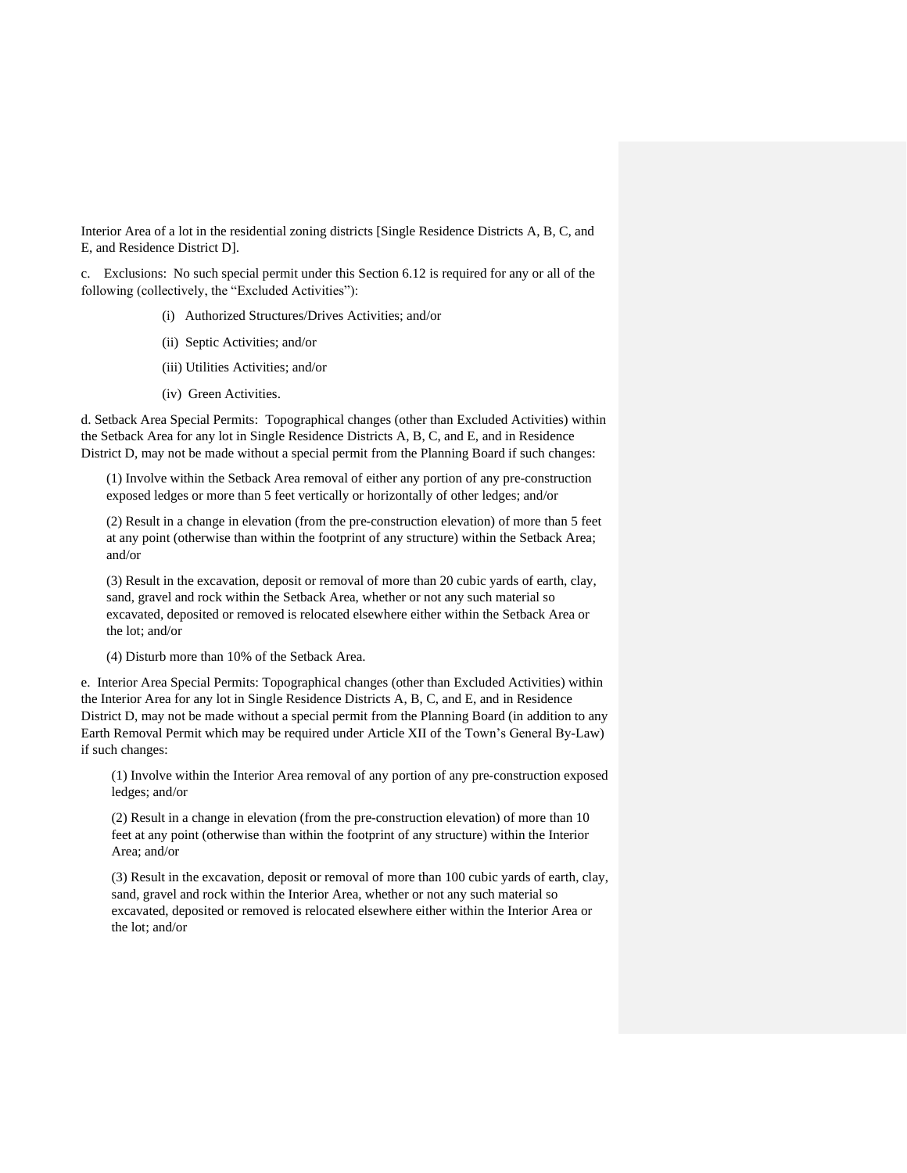Interior Area of a lot in the residential zoning districts [Single Residence Districts A, B, C, and E, and Residence District D].

c. Exclusions: No such special permit under this Section 6.12 is required for any or all of the following (collectively, the "Excluded Activities"):

- (i) Authorized Structures/Drives Activities; and/or
- (ii) Septic Activities; and/or
- (iii) Utilities Activities; and/or
- (iv) Green Activities.

d. Setback Area Special Permits: Topographical changes (other than Excluded Activities) within the Setback Area for any lot in Single Residence Districts A, B, C, and E, and in Residence District D, may not be made without a special permit from the Planning Board if such changes:

(1) Involve within the Setback Area removal of either any portion of any pre-construction exposed ledges or more than 5 feet vertically or horizontally of other ledges; and/or

(2) Result in a change in elevation (from the pre-construction elevation) of more than 5 feet at any point (otherwise than within the footprint of any structure) within the Setback Area; and/or

(3) Result in the excavation, deposit or removal of more than 20 cubic yards of earth, clay, sand, gravel and rock within the Setback Area, whether or not any such material so excavated, deposited or removed is relocated elsewhere either within the Setback Area or the lot; and/or

(4) Disturb more than 10% of the Setback Area.

e. Interior Area Special Permits: Topographical changes (other than Excluded Activities) within the Interior Area for any lot in Single Residence Districts A, B, C, and E, and in Residence District D, may not be made without a special permit from the Planning Board (in addition to any Earth Removal Permit which may be required under Article XII of the Town's General By-Law) if such changes:

(1) Involve within the Interior Area removal of any portion of any pre-construction exposed ledges; and/or

(2) Result in a change in elevation (from the pre-construction elevation) of more than 10 feet at any point (otherwise than within the footprint of any structure) within the Interior Area; and/or

(3) Result in the excavation, deposit or removal of more than 100 cubic yards of earth, clay, sand, gravel and rock within the Interior Area, whether or not any such material so excavated, deposited or removed is relocated elsewhere either within the Interior Area or the lot; and/or